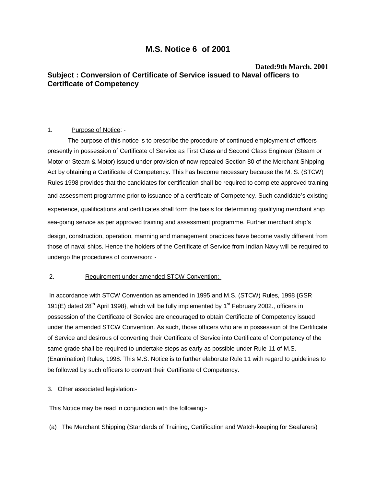# **M.S. Notice 6 of 2001**

# **Dated:9th March. 2001 Subject : Conversion of Certificate of Service issued to Naval officers to Certificate of Competency**

## 1. Purpose of Notice: -

 The purpose of this notice is to prescribe the procedure of continued employment of officers presently in possession of Certificate of Service as First Class and Second Class Engineer (Steam or Motor or Steam & Motor) issued under provision of now repealed Section 80 of the Merchant Shipping Act by obtaining a Certificate of Competency. This has become necessary because the M. S. (STCW) Rules 1998 provides that the candidates for certification shall be required to complete approved training and assessment programme prior to issuance of a certificate of Competency. Such candidate's existing experience, qualifications and certificates shall form the basis for determining qualifying merchant ship sea-going service as per approved training and assessment programme. Further merchant ship's design, construction, operation, manning and management practices have become vastly different from those of naval ships. Hence the holders of the Certificate of Service from Indian Navy will be required to undergo the procedures of conversion: -

# 2. Requirement under amended STCW Convention:-

In accordance with STCW Convention as amended in 1995 and M.S. (STCW) Rules, 1998 {GSR 191(E) dated 28<sup>th</sup> April 1998}, which will be fully implemented by 1<sup>st</sup> February 2002., officers in possession of the Certificate of Service are encouraged to obtain Certificate of Competency issued under the amended STCW Convention. As such, those officers who are in possession of the Certificate of Service and desirous of converting their Certificate of Service into Certificate of Competency of the same grade shall be required to undertake steps as early as possible under Rule 11 of M.S. (Examination) Rules, 1998. This M.S. Notice is to further elaborate Rule 11 with regard to guidelines to be followed by such officers to convert their Certificate of Competency.

## 3. Other associated legislation:-

This Notice may be read in conjunction with the following:-

(a) The Merchant Shipping (Standards of Training, Certification and Watch-keeping for Seafarers)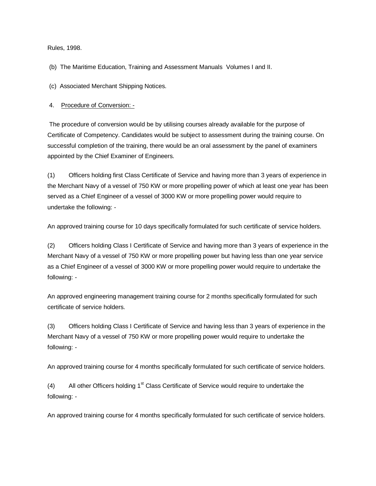Rules, 1998.

(b) The Maritime Education, Training and Assessment Manuals Volumes I and II.

(c) Associated Merchant Shipping Notices.

4. Procedure of Conversion: -

The procedure of conversion would be by utilising courses already available for the purpose of Certificate of Competency. Candidates would be subject to assessment during the training course. On successful completion of the training, there would be an oral assessment by the panel of examiners appointed by the Chief Examiner of Engineers.

(1) Officers holding first Class Certificate of Service and having more than 3 years of experience in the Merchant Navy of a vessel of 750 KW or more propelling power of which at least one year has been served as a Chief Engineer of a vessel of 3000 KW or more propelling power would require to undertake the following: -

An approved training course for 10 days specifically formulated for such certificate of service holders.

(2) Officers holding Class I Certificate of Service and having more than 3 years of experience in the Merchant Navy of a vessel of 750 KW or more propelling power but having less than one year service as a Chief Engineer of a vessel of 3000 KW or more propelling power would require to undertake the following: -

An approved engineering management training course for 2 months specifically formulated for such certificate of service holders.

(3) Officers holding Class I Certificate of Service and having less than 3 years of experience in the Merchant Navy of a vessel of 750 KW or more propelling power would require to undertake the following: -

An approved training course for 4 months specifically formulated for such certificate of service holders.

(4) All other Officers holding  $1<sup>st</sup>$  Class Certificate of Service would require to undertake the following: -

An approved training course for 4 months specifically formulated for such certificate of service holders.